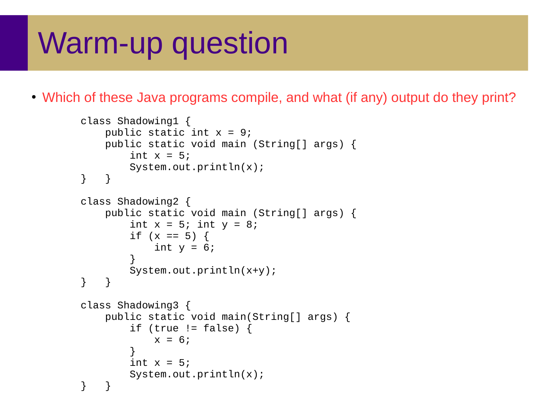## Warm-up question

• Which of these Java programs compile, and what (if any) output do they print?

```
class Shadowing1 {
   public static int x = 9;
    public static void main (String[] args) {
        int x = 5;
        System.out.println(x);
} }
class Shadowing2 {
    public static void main (String[] args) {
        int x = 5; int y = 8;
        if (x == 5) {
           int y = 6;
 }
System.out.println(x+y);} }
class Shadowing3 {
    public static void main(String[] args) {
        if (true != false) {
           x = 6;
 }
        int x = 5;
        System.out.println(x);
} }
```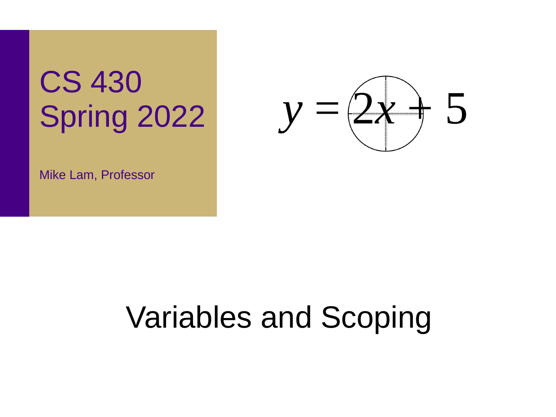# CS 430 Spring 2022



Mike Lam, Professor

# Variables and Scoping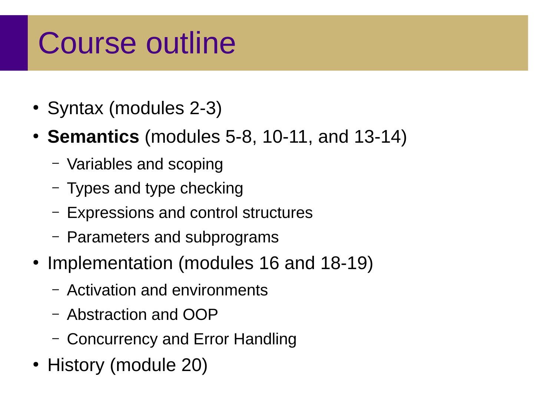## Course outline

- Syntax (modules 2-3)
- **Semantics** (modules 5-8, 10-11, and 13-14)
	- Variables and scoping
	- Types and type checking
	- Expressions and control structures
	- Parameters and subprograms
- Implementation (modules 16 and 18-19)
	- Activation and environments
	- Abstraction and OOP
	- Concurrency and Error Handling
- History (module 20)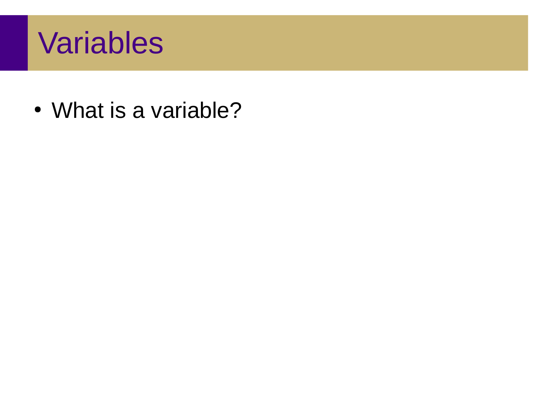## Variables

• What is a variable?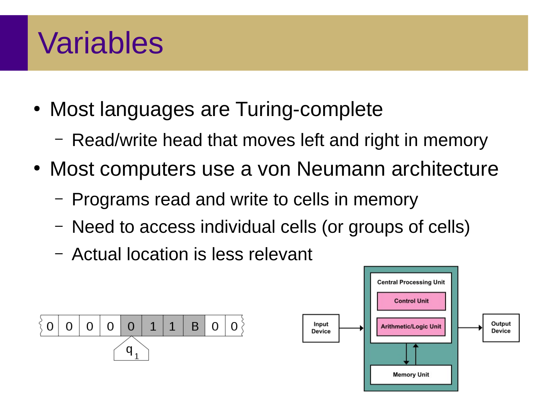## Variables

- Most languages are Turing-complete
	- Read/write head that moves left and right in memory
- Most computers use a von Neumann architecture
	- Programs read and write to cells in memory
	- Need to access individual cells (or groups of cells)
	- Actual location is less relevant



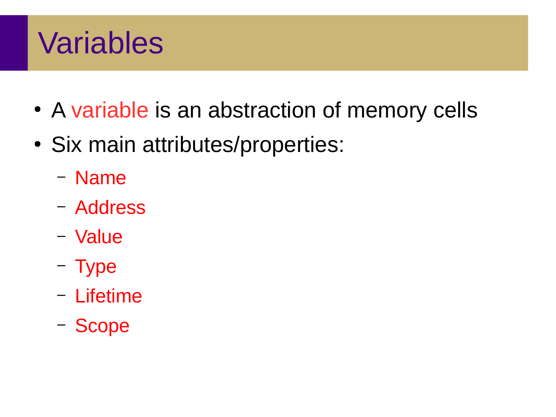## Variables

- A variable is an abstraction of memory cells
- Six main attributes/properties:
	- Name
	- Address
	- Value
	- Type
	- Lifetime
	- Scope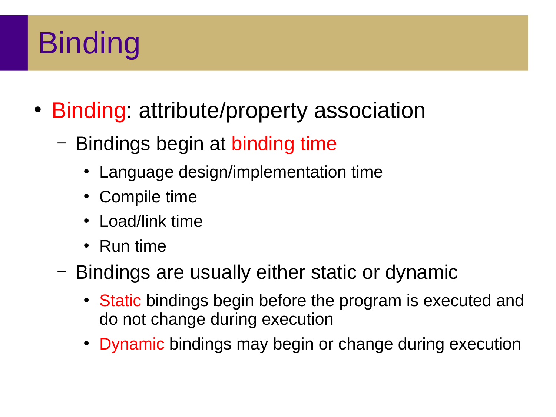# **Binding**

- Binding: attribute/property association
	- Bindings begin at binding time
		- Language design/implementation time
		- Compile time
		- Load/link time
		- Run time
	- Bindings are usually either static or dynamic
		- Static bindings begin before the program is executed and do not change during execution
		- Dynamic bindings may begin or change during execution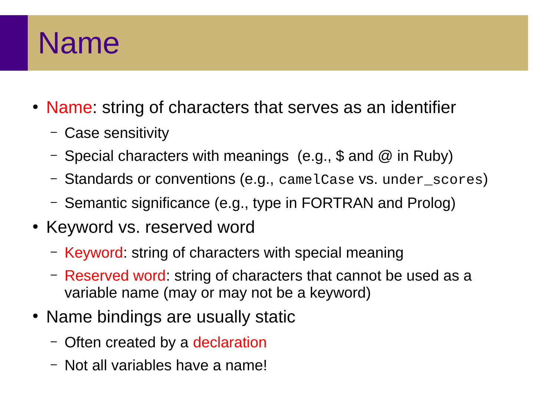#### Name

- Name: string of characters that serves as an identifier
	- Case sensitivity
	- Special characters with meanings (e.g., \$ and  $@$  in Ruby)
	- Standards or conventions (e.g., camelCase vs. under\_scores)
	- Semantic significance (e.g., type in FORTRAN and Prolog)
- Keyword vs. reserved word
	- Keyword: string of characters with special meaning
	- Reserved word: string of characters that cannot be used as a variable name (may or may not be a keyword)
- Name bindings are usually static
	- Often created by a declaration
	- Not all variables have a name!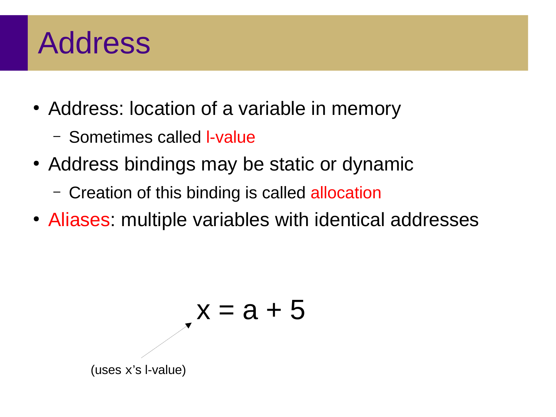## Address

- Address: location of a variable in memory
	- Sometimes called l-value
- Address bindings may be static or dynamic
	- Creation of this binding is called allocation
- Aliases: multiple variables with identical addresses

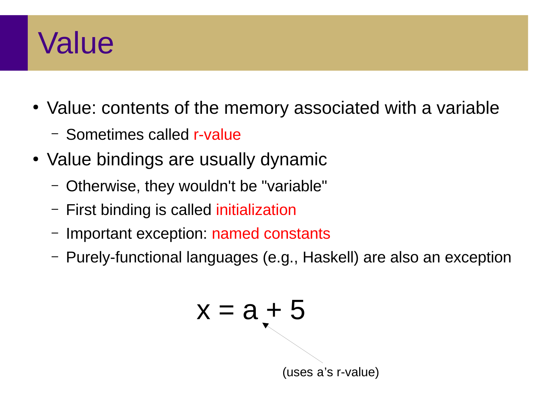## Value

- Value: contents of the memory associated with a variable
	- Sometimes called r-value
- Value bindings are usually dynamic
	- Otherwise, they wouldn't be "variable"
	- First binding is called initialization
	- Important exception: named constants
	- Purely-functional languages (e.g., Haskell) are also an exception

$$
x = a + 5
$$
  
(uses a's r-value)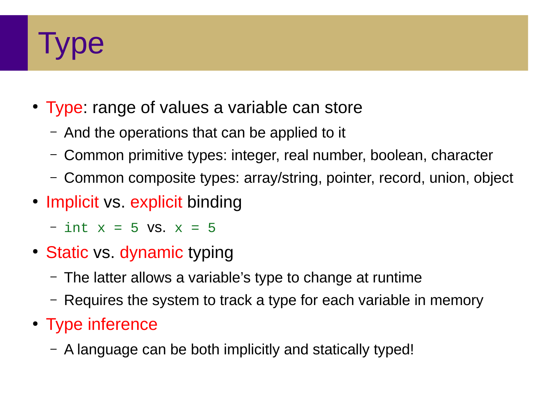

- Type: range of values a variable can store
	- And the operations that can be applied to it
	- Common primitive types: integer, real number, boolean, character
	- Common composite types: array/string, pointer, record, union, object
- Implicit vs. explicit binding
	- $-$  int  $x = 5$  vs.  $x = 5$
- Static vs. dynamic typing
	- The latter allows a variable's type to change at runtime
	- Requires the system to track a type for each variable in memory
- Type inference
	- A language can be both implicitly and statically typed!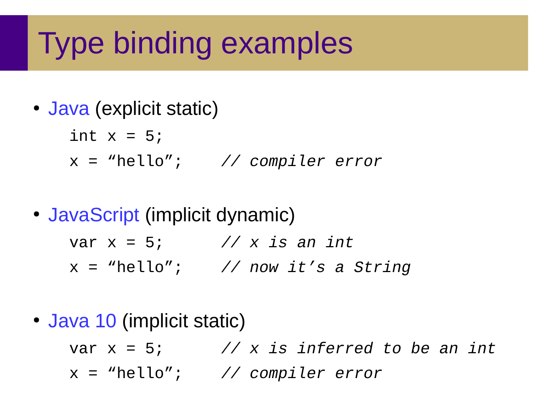# Type binding examples

• Java (explicit static)

$$
int x = 5;
$$
  
x = "hello"; // compiler error

• JavaScript (implicit dynamic)

var x = 5; *// x is an int*

- x = "hello"; *// now it's a String*
- Java 10 (implicit static)

var x = 5; *// x is inferred to be an int* x = "hello"; *// compiler error*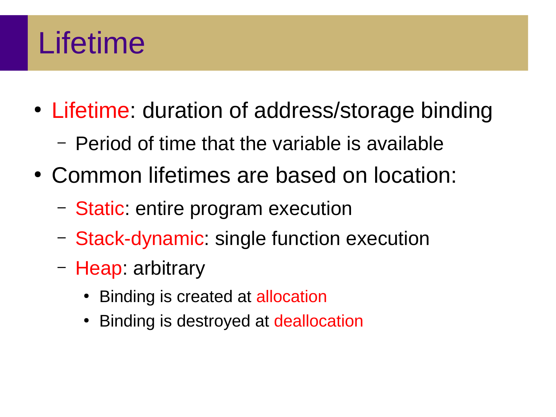# Lifetime

- Lifetime: duration of address/storage binding
	- Period of time that the variable is available
- Common lifetimes are based on location:
	- Static: entire program execution
	- Stack-dynamic: single function execution
	- Heap: arbitrary
		- Binding is created at allocation
		- Binding is destroyed at deallocation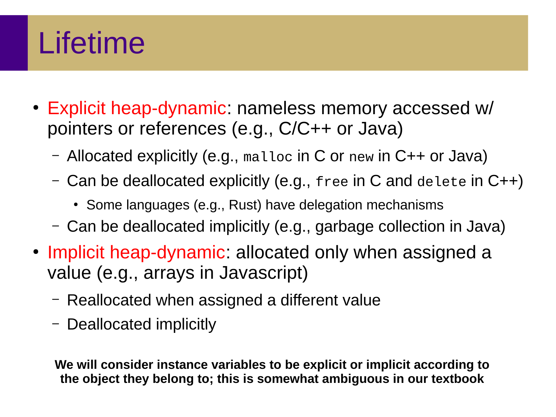# Lifetime

- Explicit heap-dynamic: nameless memory accessed w/ pointers or references (e.g., C/C++ or Java)
	- Allocated explicitly (e.g., malloc in C or new in C++ or Java)
	- Can be deallocated explicitly (e.g., free in C and delete in C++)
		- Some languages (e.g., Rust) have delegation mechanisms
	- Can be deallocated implicitly (e.g., garbage collection in Java)
- Implicit heap-dynamic: allocated only when assigned a value (e.g., arrays in Javascript)
	- Reallocated when assigned a different value
	- Deallocated implicitly

**We will consider instance variables to be explicit or implicit according to the object they belong to; this is somewhat ambiguous in our textbook**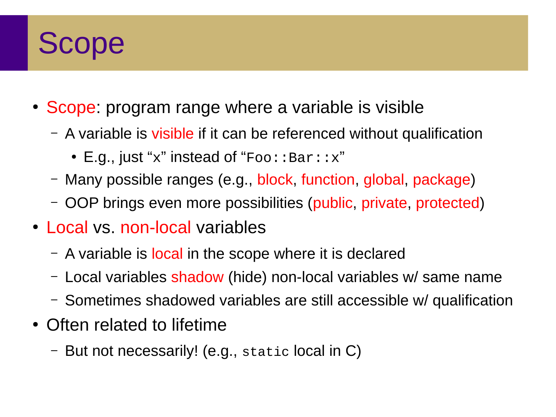### Scope

- Scope: program range where a variable is visible
	- A variable is visible if it can be referenced without qualification
		- E.g., just "x" instead of "Foo:: Bar:: x"
	- Many possible ranges (e.g., block, function, global, package)
	- OOP brings even more possibilities (public, private, protected)
- Local vs. non-local variables
	- A variable is local in the scope where it is declared
	- Local variables shadow (hide) non-local variables w/ same name
	- Sometimes shadowed variables are still accessible w/ qualification
- Often related to lifetime
	- But not necessarily! (e.g., static local in C)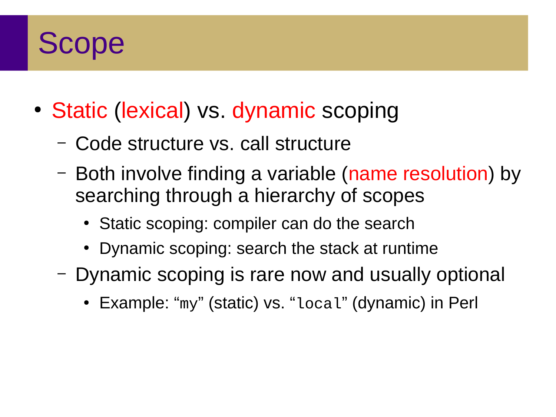### Scope

- Static (lexical) vs. dynamic scoping
	- Code structure vs. call structure
	- Both involve finding a variable (name resolution) by searching through a hierarchy of scopes
		- Static scoping: compiler can do the search
		- Dynamic scoping: search the stack at runtime
	- Dynamic scoping is rare now and usually optional
		- Example: "my" (static) vs. "local" (dynamic) in Perl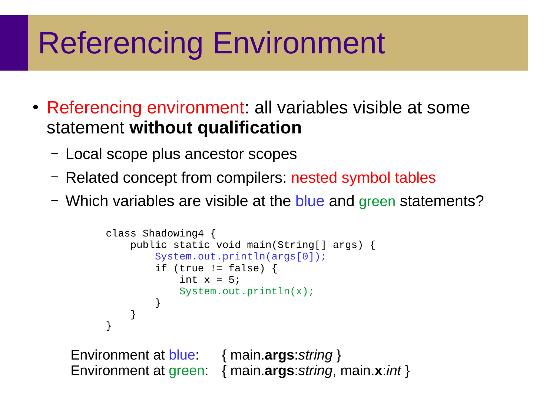# Referencing Environment

- Referencing environment: all variables visible at some statement **without qualification**
	- Local scope plus ancestor scopes
	- Related concept from compilers: nested symbol tables
	- Which variables are visible at the blue and green statements?

```
class Shadowing4 {
          public static void main(String[] args) {
              System.out.println(args[0]);
             if (true != false) {
                  int x = 5;
                  System.out.println(x);
       }
          }
     } 
Environment at blue: { main.args:string }
```
Environment at green: { main.**args**:*string*, main.**x**:*int* }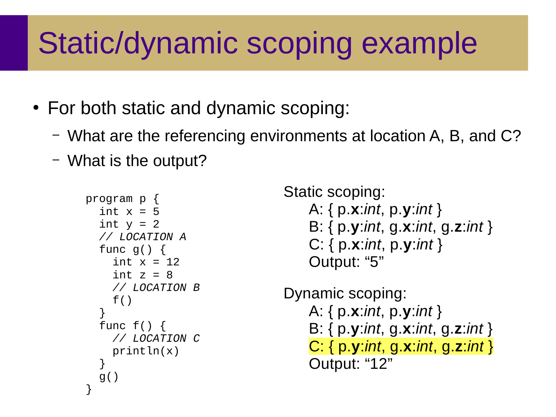# Static/dynamic scoping example

- For both static and dynamic scoping:
	- What are the referencing environments at location A, B, and C?
	- What is the output?

```
program p {
  int x = 5int y = 2 // LOCATION A
   func g() {
    int x = 12int z = 8 // LOCATION B
    f() }
   func f() {
     // LOCATION C
     println(x)
   }
   g()
}
```

```
Static scoping:
   A: { p.x:int, p.y:int }
    B: { p.y:int, g.x:int, g.z:int }
    C: { p.x:int, p.y:int }
    Output: "5"
Dynamic scoping:
   A: { p.x:int, p.y:int }
    B: { p.y:int, g.x:int, g.z:int }
    C: { p.y:int, g.x:int, g.z:int }
    Output: "12"
```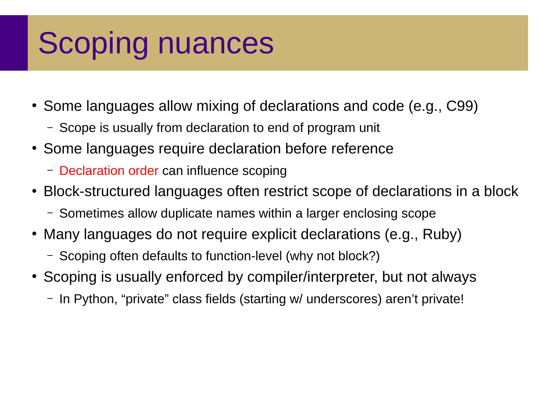# Scoping nuances

- Some languages allow mixing of declarations and code (e.g., C99)
	- Scope is usually from declaration to end of program unit
- Some languages require declaration before reference
	- Declaration order can influence scoping
- Block-structured languages often restrict scope of declarations in a block
	- Sometimes allow duplicate names within a larger enclosing scope
- Many languages do not require explicit declarations (e.g., Ruby)
	- Scoping often defaults to function-level (why not block?)
- Scoping is usually enforced by compiler/interpreter, but not always
	- In Python, "private" class fields (starting w/ underscores) aren't private!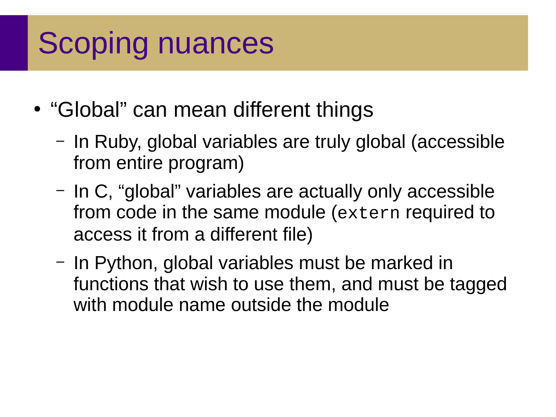# Scoping nuances

- "Global" can mean different things
	- In Ruby, global variables are truly global (accessible from entire program)
	- In C, "global" variables are actually only accessible from code in the same module (extern required to access it from a different file)
	- In Python, global variables must be marked in functions that wish to use them, and must be tagged with module name outside the module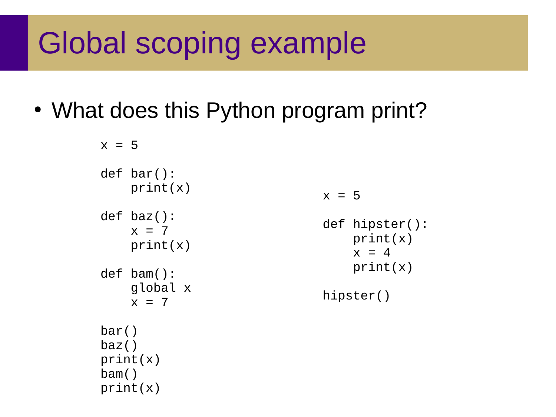## Global scoping example

• What does this Python program print?

```
x = 5def bar():
    print(x)def baz():
    x = 7print(x)def bam():
     global x
    x = 7bar()
baz()
print(x)
bam()
print(x)
```

```
x = 5
```

```
def hipster():
     print(x)
    x = 4 print(x)
```
hipster()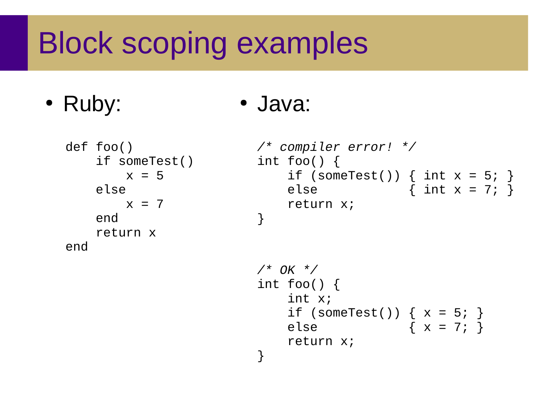# Block scoping examples

• Ruby:

```
• Java:
```

```
def foo()
    if someTest()
       x = 5 else
       x = 7 end
    return x
end
```

```
/* compiler error! */
int foo() {
    if (someTest()) { int x = 5; }
    else \{ int x = 7; \} return x;
}
```

```
/* OK */
int foo() {
    int x;
   if (someTest()) { x = 5; }
    else { x = 7; }
    return x;
}
```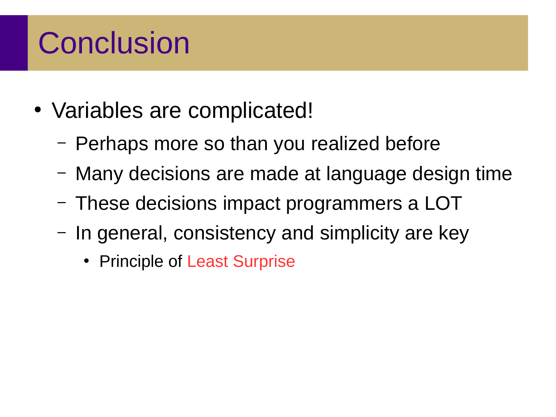# **Conclusion**

- Variables are complicated!
	- Perhaps more so than you realized before
	- Many decisions are made at language design time
	- These decisions impact programmers a LOT
	- In general, consistency and simplicity are key
		- Principle of Least Surprise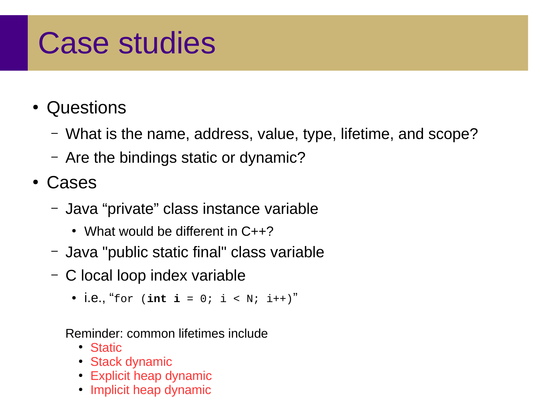## Case studies

- Questions
	- What is the name, address, value, type, lifetime, and scope?
	- Are the bindings static or dynamic?
- Cases
	- Java "private" class instance variable
		- What would be different in  $C++2$
	- Java "public static final" class variable
	- C local loop index variable
		- i.e., "for (int  $i = 0$ ;  $i < N$ ;  $i^{++}$ )"

Reminder: common lifetimes include

- Static
- Stack dynamic
- Explicit heap dynamic
- Implicit heap dynamic